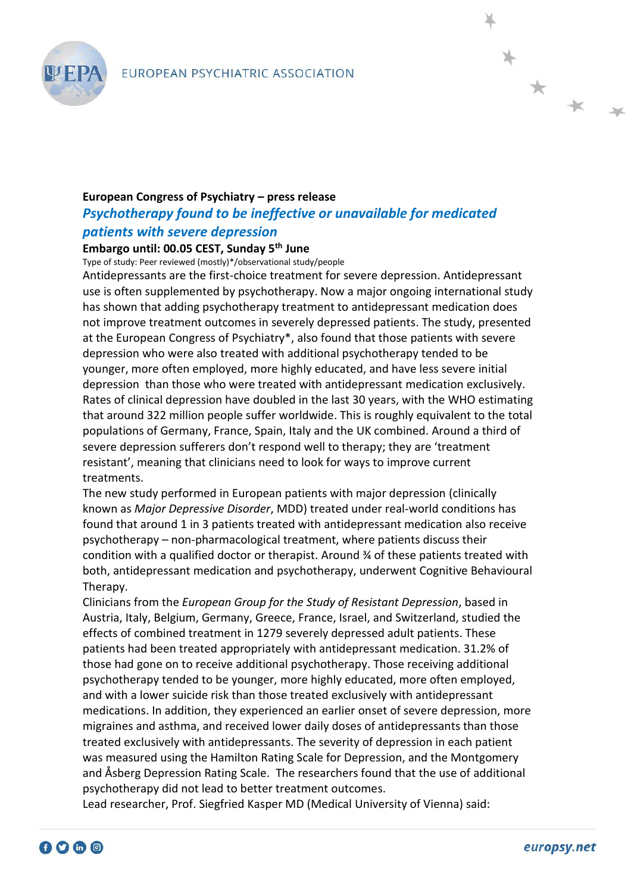

## **European Congress of Psychiatry – press release** *Psychotherapy found to be ineffective or unavailable for medicated patients with severe depression*

## **Embargo until: 00.05 CEST, Sunday 5th June**

Type of study: Peer reviewed (mostly)\*/observational study/people

Antidepressants are the first-choice treatment for severe depression. Antidepressant use is often supplemented by psychotherapy. Now a major ongoing international study has shown that adding psychotherapy treatment to antidepressant medication does not improve treatment outcomes in severely depressed patients. The study, presented at the European Congress of Psychiatry\*, also found that those patients with severe depression who were also treated with additional psychotherapy tended to be younger, more often employed, more highly educated, and have less severe initial depression than those who were treated with antidepressant medication exclusively. Rates of clinical depression have doubled in the last 30 years, with the WHO estimating that around 322 million people suffer worldwide. This is roughly equivalent to the total populations of Germany, France, Spain, Italy and the UK combined. Around a third of severe depression sufferers don't respond well to therapy; they are 'treatment resistant', meaning that clinicians need to look for ways to improve current treatments.

The new study performed in European patients with major depression (clinically known as *Major Depressive Disorder*, MDD) treated under real-world conditions has found that around 1 in 3 patients treated with antidepressant medication also receive psychotherapy – non-pharmacological treatment, where patients discuss their condition with a qualified doctor or therapist. Around  $\frac{3}{4}$  of these patients treated with both, antidepressant medication and psychotherapy, underwent Cognitive Behavioural Therapy.

Clinicians from the *European Group for the Study of Resistant Depression*, based in Austria, Italy, Belgium, Germany, Greece, France, Israel, and Switzerland, studied the effects of combined treatment in 1279 severely depressed adult patients. These patients had been treated appropriately with antidepressant medication. 31.2% of those had gone on to receive additional psychotherapy. Those receiving additional psychotherapy tended to be younger, more highly educated, more often employed, and with a lower suicide risk than those treated exclusively with antidepressant medications. In addition, they experienced an earlier onset of severe depression, more migraines and asthma, and received lower daily doses of antidepressants than those treated exclusively with antidepressants. The severity of depression in each patient was measured using the Hamilton Rating Scale for Depression, and the Montgomery and Åsberg Depression Rating Scale. The researchers found that the use of additional psychotherapy did not lead to better treatment outcomes.

Lead researcher, Prof. Siegfried Kasper MD (Medical University of Vienna) said:

 $*$  \* \*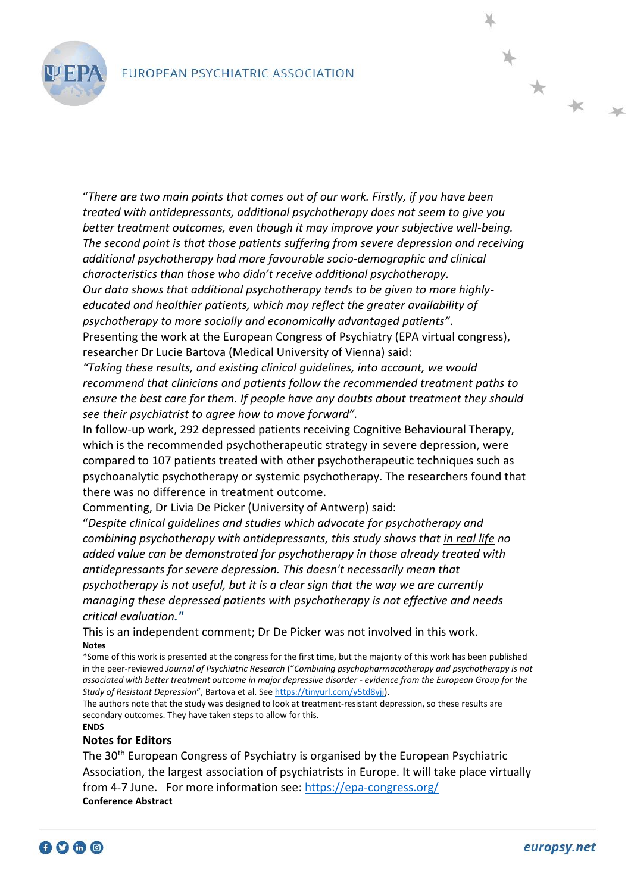

"*There are two main points that comes out of our work. Firstly, if you have been treated with antidepressants, additional psychotherapy does not seem to give you better treatment outcomes, even though it may improve your subjective well-being. The second point is that those patients suffering from severe depression and receiving additional psychotherapy had more favourable socio-demographic and clinical characteristics than those who didn't receive additional psychotherapy. Our data shows that additional psychotherapy tends to be given to more highlyeducated and healthier patients, which may reflect the greater availability of psychotherapy to more socially and economically advantaged patients"*. Presenting the work at the European Congress of Psychiatry (EPA virtual congress),

researcher Dr Lucie Bartova (Medical University of Vienna) said: *"Taking these results, and existing clinical guidelines, into account, we would recommend that clinicians and patients follow the recommended treatment paths to ensure the best care for them. If people have any doubts about treatment they should* 

*see their psychiatrist to agree how to move forward".*

In follow-up work, 292 depressed patients receiving Cognitive Behavioural Therapy, which is the recommended psychotherapeutic strategy in severe depression, were compared to 107 patients treated with other psychotherapeutic techniques such as psychoanalytic psychotherapy or systemic psychotherapy. The researchers found that there was no difference in treatment outcome.

Commenting, Dr Livia De Picker (University of Antwerp) said:

"*Despite clinical guidelines and studies which advocate for psychotherapy and combining psychotherapy with antidepressants, this study shows that in real life no added value can be demonstrated for psychotherapy in those already treated with antidepressants for severe depression. This doesn't necessarily mean that psychotherapy is not useful, but it is a clear sign that the way we are currently managing these depressed patients with psychotherapy is not effective and needs critical evaluation."*

This is an independent comment; Dr De Picker was not involved in this work. **Notes**

\*Some of this work is presented at the congress for the first time, but the majority of this work has been published in the peer-reviewed *Journal of Psychiatric Research* ("*Combining psychopharmacotherapy and psychotherapy is not associated with better treatment outcome in major depressive disorder - evidence from the European Group for the Study of Resistant Depression*", Bartova et al. Se[e https://tinyurl.com/y5td8yjj\)](https://tinyurl.com/y5td8yjj).

The authors note that the study was designed to look at treatment-resistant depression, so these results are secondary outcomes. They have taken steps to allow for this. **ENDS**

## **Notes for Editors**

The 30<sup>th</sup> European Congress of Psychiatry is organised by the European Psychiatric Association, the largest association of psychiatrists in Europe. It will take place virtually from 4-7 June. For more information see:<https://epa-congress.org/> **Conference Abstract**



\* \* \*